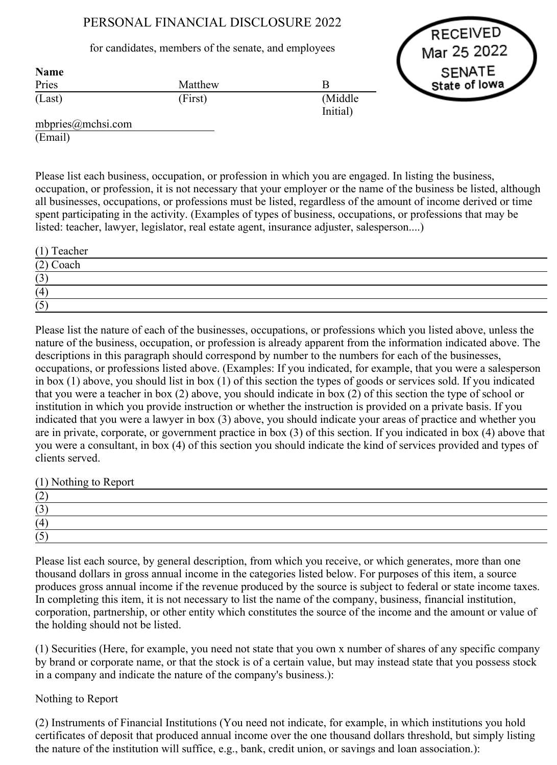# PERSONAL FINANCIAL DISCLOSURE 2022

# for candidates, members of the senate, and employees



| <b>Name</b> |         |                      |
|-------------|---------|----------------------|
| Pries       | Matthew | B                    |
| (Last)      | (First) | (Middle)<br>Initial) |

mbpries@mchsi.com (Email)

Please list each business, occupation, or profession in which you are engaged. In listing the business, occupation, or profession, it is not necessary that your employer or the name of the business be listed, although all businesses, occupations, or professions must be listed, regardless of the amount of income derived or time spent participating in the activity. (Examples of types of business, occupations, or professions that may be listed: teacher, lawyer, legislator, real estate agent, insurance adjuster, salesperson....)

| $(1)$ Teacher |  |
|---------------|--|
| $(2)$ Coach   |  |
| (3)           |  |
| (4)           |  |
| (5)           |  |

Please list the nature of each of the businesses, occupations, or professions which you listed above, unless the nature of the business, occupation, or profession is already apparent from the information indicated above. The descriptions in this paragraph should correspond by number to the numbers for each of the businesses, occupations, or professions listed above. (Examples: If you indicated, for example, that you were a salesperson in box (1) above, you should list in box (1) of this section the types of goods or services sold. If you indicated that you were a teacher in box (2) above, you should indicate in box (2) of this section the type of school or institution in which you provide instruction or whether the instruction is provided on a private basis. If you indicated that you were a lawyer in box (3) above, you should indicate your areas of practice and whether you are in private, corporate, or government practice in box (3) of this section. If you indicated in box (4) above that you were a consultant, in box (4) of this section you should indicate the kind of services provided and types of clients served.

(1) Nothing to Report

| ॱ∸                                    |  |  |
|---------------------------------------|--|--|
| $\sim$<br>' ~                         |  |  |
| 14                                    |  |  |
| $\rightarrow$<br>$\ddot{\phantom{0}}$ |  |  |

Please list each source, by general description, from which you receive, or which generates, more than one thousand dollars in gross annual income in the categories listed below. For purposes of this item, a source produces gross annual income if the revenue produced by the source is subject to federal or state income taxes. In completing this item, it is not necessary to list the name of the company, business, financial institution, corporation, partnership, or other entity which constitutes the source of the income and the amount or value of the holding should not be listed.

(1) Securities (Here, for example, you need not state that you own x number of shares of any specific company by brand or corporate name, or that the stock is of a certain value, but may instead state that you possess stock in a company and indicate the nature of the company's business.):

# Nothing to Report

(2) Instruments of Financial Institutions (You need not indicate, for example, in which institutions you hold certificates of deposit that produced annual income over the one thousand dollars threshold, but simply listing the nature of the institution will suffice, e.g., bank, credit union, or savings and loan association.):